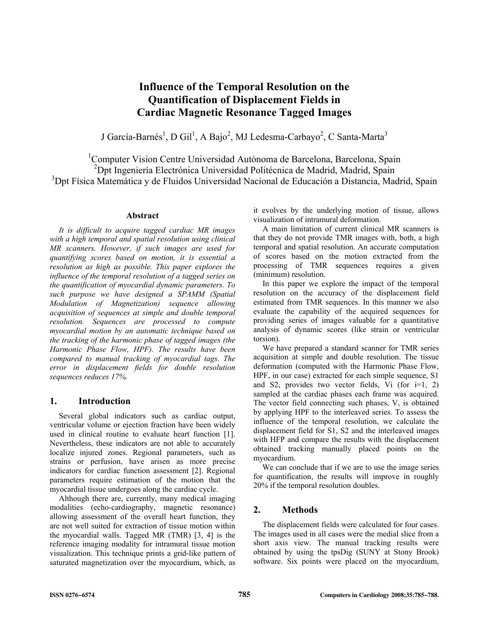# **Influence of the Temporal Resolution on the Quantification of Displacement Fields in Cardiac Magnetic Resonance Tagged Images**

J García-Barnés<sup>1</sup>, D Gil<sup>1</sup>, A Bajo<sup>2</sup>, MJ Ledesma-Carbayo<sup>2</sup>, C Santa-Marta<sup>3</sup>

<sup>1</sup>Computer Vision Centre Universidad Autònoma de Barcelona, Barcelona, Spain <sup>2</sup>Dpt Ingeniería Electrónica Universidad Politécnica de Madrid, Madrid, Spain <sup>3</sup>Dpt Física Matemática y de Fluidos Universidad Nacional de Educación a Distancia, Madrid, Spain

# **Abstract**

*It is difficult to acquire tagged cardiac MR images with a high temporal and spatial resolution using clinical MR scanners. However, if such images are used for quantifying scores based on motion, it is essential a resolution as high as possible. This paper explores the influence of the temporal resolution of a tagged series on the quantification of myocardial dynamic parameters. To such purpose we have designed a SPAMM (Spatial Modulation of Magnetization) sequence allowing acquisition of sequences at simple and double temporal resolution. Sequences are processed to compute myocardial motion by an automatic technique based on the tracking of the harmonic phase of tagged images (the Harmonic Phase Flow, HPF). The results have been compared to manual tracking of myocardial tags. The error in displacement fields for double resolution sequences reduces 17%.* 

# **1. Introduction**

Several global indicators such as cardiac output, ventricular volume or ejection fraction have been widely used in clinical routine to evaluate heart function [1]. Nevertheless, these indicators are not able to accurately localize injured zones. Regional parameters, such as strains or perfusion, have arisen as more precise indicators for cardiac function assessment [2]. Regional parameters require estimation of the motion that the myocardial tissue undergoes along the cardiac cycle.

Although there are, currently, many medical imaging modalities (echo-cardiography, magnetic resonance) allowing assessment of the overall heart function, they are not well suited for extraction of tissue motion within the myocardial walls. Tagged MR (TMR) [3, 4] is the reference imaging modality for intramural tissue motion visualization. This technique prints a grid-like pattern of saturated magnetization over the myocardium, which, as it evolves by the underlying motion of tissue, allows visualization of intramural deformation.

A main limitation of current clinical MR scanners is that they do not provide TMR images with, both, a high temporal and spatial resolution. An accurate computation of scores based on the motion extracted from the processing of TMR sequences requires a given (minimum) resolution.

In this paper we explore the impact of the temporal resolution on the accuracy of the displacement field estimated from TMR sequences. In this manner we also evaluate the capability of the acquired sequences for providing series of images valuable for a quantitative analysis of dynamic scores (like strain or ventricular torsion).

We have prepared a standard scanner for TMR series acquisition at simple and double resolution. The tissue deformation (computed with the Harmonic Phase Flow, HPF, in our case) extracted for each simple sequence, S1 and S2, provides two vector fields, Vi (for i=1, 2) sampled at the cardiac phases each frame was acquired. The vector field connecting such phases, V, is obtained by applying HPF to the interleaved series. To assess the influence of the temporal resolution, we calculate the displacement field for S1, S2 and the interleaved images with HFP and compare the results with the displacement obtained tracking manually placed points on the myocardium.

We can conclude that if we are to use the image series for quantification, the results will improve in roughly 20% if the temporal resolution doubles.

# **2. Methods**

The displacement fields were calculated for four cases. The images used in all cases were the medial slice from a short axis view. The manual tracking results were obtained by using the tpsDig (SUNY at Stony Brook) software. Six points were placed on the myocardium,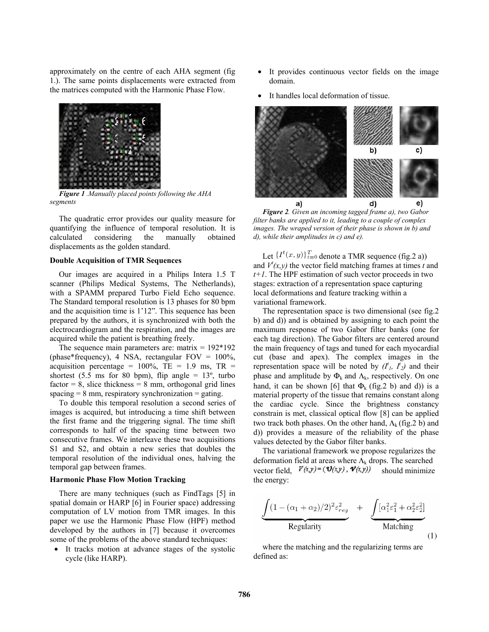approximately on the centre of each AHA segment (fig 1.). The same points displacements were extracted from the matrices computed with the Harmonic Phase Flow.



*Figure 1 .Manually placed points following the AHA segments* 

The quadratic error provides our quality measure for quantifying the influence of temporal resolution. It is calculated considering the manually obtained displacements as the golden standard.

#### **Double Acquisition of TMR Sequences**

Our images are acquired in a Philips Intera 1.5 T scanner (Philips Medical Systems, The Netherlands), with a SPAMM prepared Turbo Field Echo sequence. The Standard temporal resolution is 13 phases for 80 bpm and the acquisition time is 1'12". This sequence has been prepared by the authors, it is synchronized with both the electrocardiogram and the respiration, and the images are acquired while the patient is breathing freely.

The sequence main parameters are: matrix  $= 192*192$ (phase\*frequency), 4 NSA, rectangular FOV = 100%, acquisition percentage =  $100\%$ , TE = 1.9 ms, TR = shortest (5.5 ms for 80 bpm), flip angle =  $13^{\circ}$ , turbo  $factor = 8$ , slice thickness = 8 mm, orthogonal grid lines  $spacing = 8$  mm, respiratory synchronization = gating.

To double this temporal resolution a second series of images is acquired, but introducing a time shift between the first frame and the triggering signal. The time shift corresponds to half of the spacing time between two consecutive frames. We interleave these two acquisitions S1 and S2, and obtain a new series that doubles the temporal resolution of the individual ones, halving the temporal gap between frames.

#### **Harmonic Phase Flow Motion Tracking**

There are many techniques (such as FindTags [5] in spatial domain or HARP [6] in Fourier space) addressing computation of LV motion from TMR images. In this paper we use the Harmonic Phase Flow (HPF) method developed by the authors in [7] because it overcomes some of the problems of the above standard techniques:

• It tracks motion at advance stages of the systolic cycle (like HARP).

- It provides continuous vector fields on the image domain.
- It handles local deformation of tissue.



*Figure 2. Given an incoming tagged frame a), two Gabor filter banks are applied to it, leading to a couple of complex images. The wraped version of their phase is shown in b) and d), while their amplitudes in c) and e).* 

Let  $\{I^t(x,y)\}_{t=0}^T$  denote a TMR sequence (fig.2 a)) and  $V^t(x, y)$  the vector field matching frames at times *t* and *t+1*. The HPF estimation of such vector proceeds in two stages: extraction of a representation space capturing local deformations and feature tracking within a variational framework.

The representation space is two dimensional (see fig.2 b) and d)) and is obtained by assigning to each point the maximum response of two Gabor filter banks (one for each tag direction). The Gabor filters are centered around the main frequency of tags and tuned for each myocardial cut (base and apex). The complex images in the representation space will be noted by  $(I^t, I^t)$  and their phase and amplitude by  $\Phi_k$  and  $\Lambda_k$ , respectively. On one hand, it can be shown [6] that  $\Phi_k$  (fig.2 b) and d)) is a material property of the tissue that remains constant along the cardiac cycle. Since the brightness constancy constrain is met, classical optical flow [8] can be applied two track both phases. On the other hand,  $\Lambda_k$  (fig.2 b) and d)) provides a measure of the reliability of the phase values detected by the Gabor filter banks.

The variational framework we propose regularizes the deformation field at areas where  $\Lambda_k$  drops. The searched vector field,  $V(x,y) = (\mathbf{U}(x,y), \mathbf{\Psi}(x,y))$  should minimize the energy:

$$
\underbrace{\int (1 - (\alpha_1 + \alpha_2)/2)^2 \varepsilon_{reg}^2}_{\text{Regularity}} + \underbrace{\int [\alpha_1^2 \varepsilon_1^2 + \alpha_2^2 \varepsilon_2^2]}_{\text{Matching}}
$$
\n(1)

where the matching and the regularizing terms are defined as: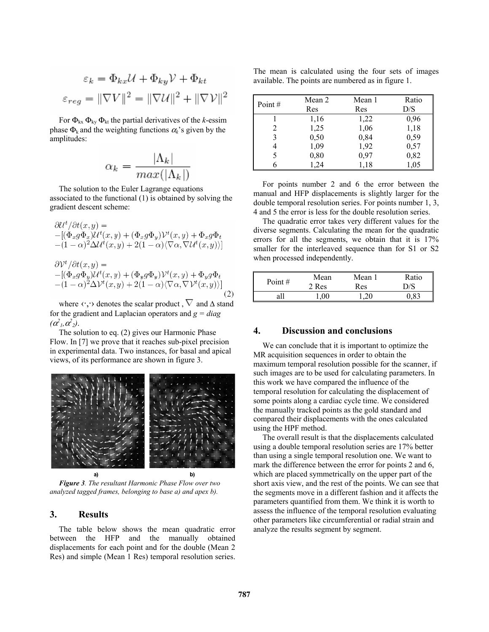$$
\varepsilon_k = \Phi_{kx} \mathcal{U} + \Phi_{ky} \mathcal{V} + \Phi_{kt}
$$

$$
\varepsilon_{reg} = ||\nabla V||^2 = ||\nabla \mathcal{U}||^2 + ||\nabla \mathcal{V}||^2
$$

For  $\Phi_{kx} \Phi_{ky} \Phi_{kt}$  the partial derivatives of the *k*-essim phase  $\Phi_k$  and the weighting functions  $\alpha_k$ 's given by the amplitudes:

$$
\alpha_k = \frac{|\Lambda_k|}{max(|\Lambda_k|)}
$$

The solution to the Euler Lagrange equations associated to the functional (1) is obtained by solving the gradient descent scheme:

$$
\partial \mathcal{U}^t / \partial t(x, y) =
$$
  
 
$$
-[(\Phi_x g \Phi_x) \mathcal{U}^t(x, y) + (\Phi_x g \Phi_y) \mathcal{V}^t(x, y) + \Phi_x g \Phi_t
$$
  
 
$$
- (1 - \alpha)^2 \Delta \mathcal{U}^t(x, y) + 2(1 - \alpha) \langle \nabla \alpha, \nabla \mathcal{U}^t(x, y) \rangle]
$$
  
\n
$$
\partial \mathcal{V}^t / \partial t(x, y) =
$$
  
\n
$$
-[(\Phi_x g \Phi_y) \mathcal{U}^t(x, y) + (\Phi_y g \Phi_y) \mathcal{V}^t(x, y) + \Phi_y g \Phi_t
$$
  
\n
$$
- (1 - \alpha)^2 \Delta \mathcal{V}^t(x, y) + 2(1 - \alpha) \langle \nabla \alpha, \nabla \mathcal{V}^t(x, y) \rangle]
$$

where  $\langle \cdot, \cdot \rangle$  denotes the scalar product ,  $\nabla$  and  $\Delta$  stand for the gradient and Laplacian operators and  $g = diag$  $(\alpha_1^2, \alpha_2^2)$ .

The solution to eq. (2) gives our Harmonic Phase Flow. In [7] we prove that it reaches sub-pixel precision in experimental data. Two instances, for basal and apical views, of its performance are shown in figure 3.



*Figure 3. The resultant Harmonic Phase Flow over two analyzed tagged frames, belonging to base a) and apex b).* 

# **3. Results**

The table below shows the mean quadratic error between the HFP and the manually obtained displacements for each point and for the double (Mean 2 Res) and simple (Mean 1 Res) temporal resolution series.

The mean is calculated using the four sets of images available. The points are numbered as in figure 1.

| Point $#$ | Mean 2 | Mean 1 | Ratio |
|-----------|--------|--------|-------|
|           | Res    | Res    | D/S   |
|           | 1,16   | 1,22   | 0,96  |
|           | 1,25   | 1,06   | 1,18  |
|           | 0,50   | 0,84   | 0,59  |
|           | 1,09   | 1,92   | 0,57  |
|           | 0,80   | 0,97   | 0,82  |
|           | 1.24   | 1.18   | 1,05  |

For points number 2 and 6 the error between the manual and HFP displacements is slightly larger for the double temporal resolution series. For points number 1, 3, 4 and 5 the error is less for the double resolution series.

The quadratic error takes very different values for the diverse segments. Calculating the mean for the quadratic errors for all the segments, we obtain that it is 17% smaller for the interleaved sequence than for S1 or S2 when processed independently.

| Point $#$ | Mean<br>Res | Mean<br><b>Res</b> | Ratio |
|-----------|-------------|--------------------|-------|
| all       | 00          | 20                 | 83    |

# **4. Discussion and conclusions**

We can conclude that it is important to optimize the MR acquisition sequences in order to obtain the maximum temporal resolution possible for the scanner, if such images are to be used for calculating parameters. In this work we have compared the influence of the temporal resolution for calculating the displacement of some points along a cardiac cycle time. We considered the manually tracked points as the gold standard and compared their displacements with the ones calculated using the HPF method.

The overall result is that the displacements calculated using a double temporal resolution series are 17% better than using a single temporal resolution one. We want to mark the difference between the error for points 2 and 6, which are placed symmetrically on the upper part of the short axis view, and the rest of the points. We can see that the segments move in a different fashion and it affects the parameters quantified from them. We think it is worth to assess the influence of the temporal resolution evaluating other parameters like circumferential or radial strain and analyze the results segment by segment.